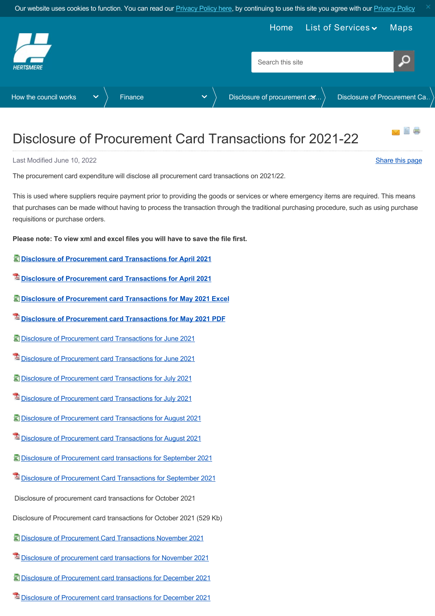<span id="page-0-0"></span>

## Disclosure of Procurement Card Transactions for 2021-22

Last Modified June 10, 2022 [Share this page](http://www.addthis.com/bookmark.php?v=250&pubid=xa-502e5fd570edcb1e) of the state of the state of the state of the state of the state of the state of the state of the state of the state of the state of the state of the state of the state of the st

The procurement card expenditure will disclose all procurement card transactions on 2021/22.

This is used where suppliers require payment prior to providing the goods or services or where emergency items are required. This means that purchases can be made without having to process the transaction through the traditional purchasing procedure, such as using purchase requisitions or purchase orders.

**Please note: To view xml and excel files you will have to save the file first.**

- **[Disclosure of Procurement card Transactions for April 2021](https://www.hertsmere.gov.uk/Documents/11-Your-Council/How-the-council-works/Finance/Disclosure-of-procurement-card-transactions/2021-22/Disclosure-of-Procurement-card-Transactions-for-April-2021-Excel.xls)**
- **[Disclosure of Procurement card Transactions for April 2021](https://www.hertsmere.gov.uk/Documents/11-Your-Council/How-the-council-works/Finance/Disclosure-of-procurement-card-transactions/2021-22/Disclosure-of-Procurement-card-Transactions-for-April-2021-PDF.pdf)**
- **[Disclosure of Procurement card Transactions for May 2021 Excel](https://www.hertsmere.gov.uk/Documents/11-Your-Council/How-the-council-works/Finance/Disclosure-of-procurement-card-transactions/2021-22/Disclosure-of-Procurement-card-Transactions-for-May-2021-Excel.xls)**
- **[Disclosure of Procurement card Transactions for May 2021 PDF](https://www.hertsmere.gov.uk/Documents/11-Your-Council/How-the-council-works/Finance/Disclosure-of-procurement-card-transactions/2021-22/Disclosure-of-Procurement-card-Transactions-for-May-2021-PDF.pdf)**
- [Disclosure of Procurement card Transactions for June 2021](https://www.hertsmere.gov.uk/Documents/11-Your-Council/How-the-council-works/Finance/Disclosure-of-procurement-card-transactions/2021-22/Disclosure-of-Procurement-card-Transactions-for-June-2021.xls)
- [Disclosure of Procurement card Transactions for June 2021](https://www.hertsmere.gov.uk/Documents/11-Your-Council/How-the-council-works/Finance/Disclosure-of-procurement-card-transactions/2021-22/Disclosure-of-Procurement-card-Transactions-for-June-2021.pdf)
- [Disclosure of Procurement card Transactions for July 2021](https://www.hertsmere.gov.uk/Documents/11-Your-Council/How-the-council-works/Finance/Disclosure-of-procurement-card-transactions/2021-22/Disclosure-of-Procurement-card-Transactions-for-July-2021.xls)
- **[Disclosure of Procurement card Transactions for July 2021](https://www.hertsmere.gov.uk/Documents/11-Your-Council/How-the-council-works/Finance/Disclosure-of-procurement-card-transactions/2021-22/Disclosure-of-Procurement-card-Transactions-for-July-2021.pdf)**
- [Disclosure of Procurement card Transactions for August 2021](https://www.hertsmere.gov.uk/Documents/11-Your-Council/How-the-council-works/Finance/Disclosure-of-procurement-card-transactions/2021-22/Disclosure-of-Procurement-card-Transactions-for-August-2021.xls)
- **[Disclosure of Procurement card Transactions for August 2021](https://www.hertsmere.gov.uk/Documents/11-Your-Council/How-the-council-works/Finance/Disclosure-of-procurement-card-transactions/2021-22/Disclosure-of-Procurement-card-Transactions-for-August-2021.pdf)**
- [Disclosure of Procurement card transactions for September 2021](https://www.hertsmere.gov.uk/Documents/11-Your-Council/How-the-council-works/Finance/Disclosure-of-procurement-card-transactions/2021-22/Disclosure-of-Procurement-card-transactions-for-September-2021-Excel-36Kb.xls)
- $\mathbb{Z}$  [Disclosure of Procurement Card Transactions for September 2021](https://www.hertsmere.gov.uk/Documents/11-Your-Council/How-the-council-works/Finance/Disclosure-of-procurement-card-transactions/2021-22/Disclosure-of-Procurement-Card-Transactions-for-September-2021.pdf)

Disclosure of procurement card transactions for October 2021

Disclosure of Procurement card transactions for October 2021 (529 Kb)

- [Disclosure of Procurement Card Transactions November 2021](https://www.hertsmere.gov.uk/Documents/11-Your-Council/How-the-council-works/Finance/Disclosure-of-procurement-card-transactions/2021-22/Disclosure-of-Procurement-Card-Transactions-November-2021.xls)
- [Disclosure of procurement card transactions for November 2021](https://www.hertsmere.gov.uk/Documents/11-Your-Council/How-the-council-works/Finance/Disclosure-of-procurement-card-transactions/2021-22/Disclosure-of-procurement-card-transactions-for-November-2021.pdf)
- [Disclosure of Procurement card transactions for December 2021](https://www.hertsmere.gov.uk/Documents/11-Your-Council/How-the-council-works/Finance/Disclosure-of-procurement-card-transactions/2021-22/Disclosure-of-Procurement-card-transactions-for-December-2021.xls)
- [Disclosure of Procurement card transactions for December 2021](https://www.hertsmere.gov.uk/Documents/11-Your-Council/How-the-council-works/Finance/Disclosure-of-procurement-card-transactions/2021-22/Disclosure-of-Procurement-card-transactions-for-December-2021.pdf)